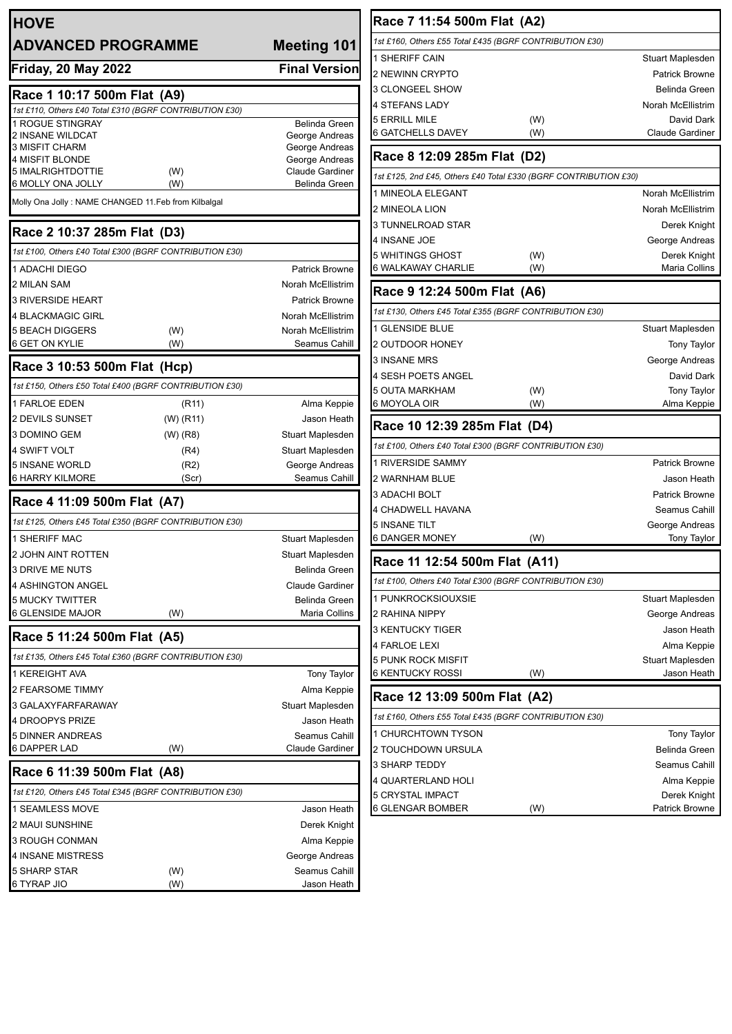| <b>HOVE</b>                                                               |            |                                          |  |  |
|---------------------------------------------------------------------------|------------|------------------------------------------|--|--|
| <b>ADVANCED PROGRAMME</b>                                                 |            | <b>Meeting 101</b>                       |  |  |
| <b>Friday, 20 May 2022</b>                                                |            | <b>Final Version</b>                     |  |  |
| Race 1 10:17 500m Flat (A9)                                               |            |                                          |  |  |
| 1st £110, Others £40 Total £310 (BGRF CONTRIBUTION £30)                   |            |                                          |  |  |
| 1 ROGUE STINGRAY                                                          |            | <b>Belinda Green</b>                     |  |  |
| 2 INSANE WILDCAT<br><b>3 MISFIT CHARM</b>                                 |            | George Andreas<br>George Andreas         |  |  |
| 4 MISFIT BLONDE                                                           |            | George Andreas                           |  |  |
| 5 IMALRIGHTDOTTIE                                                         | (W)        | Claude Gardiner                          |  |  |
| 6 MOLLY ONA JOLLY<br>Molly Ona Jolly : NAME CHANGED 11.Feb from Kilbalgal | (W)        | <b>Belinda Green</b>                     |  |  |
|                                                                           |            |                                          |  |  |
| Race 2 10:37 285m Flat (D3)                                               |            |                                          |  |  |
| 1st £100, Others £40 Total £300 (BGRF CONTRIBUTION £30)                   |            |                                          |  |  |
| 1 ADACHI DIEGO                                                            |            | <b>Patrick Browne</b>                    |  |  |
| 2 MILAN SAM                                                               |            | Norah McEllistrim                        |  |  |
| <b>3 RIVERSIDE HEART</b>                                                  |            | <b>Patrick Browne</b>                    |  |  |
| <b>4 BLACKMAGIC GIRL</b>                                                  |            | Norah McEllistrim                        |  |  |
| <b>5 BEACH DIGGERS</b><br>6 GET ON KYLIE                                  | (W)<br>(W) | Norah McEllistrim<br>Seamus Cahill       |  |  |
| Race 3 10:53 500m Flat (Hcp)                                              |            |                                          |  |  |
| 1st £150, Others £50 Total £400 (BGRF CONTRIBUTION £30)                   |            |                                          |  |  |
| <b>1 FARLOE EDEN</b>                                                      | (R11)      | Alma Keppie                              |  |  |
| 2 DEVILS SUNSET                                                           | (W) (R11)  | Jason Heath                              |  |  |
| 3 DOMINO GEM                                                              | (W) (R8)   | Stuart Maplesden                         |  |  |
| 4 SWIFT VOLT                                                              | (R4)       | Stuart Maplesden                         |  |  |
| <b>5 INSANE WORLD</b>                                                     | (R2)       | George Andreas                           |  |  |
| 6 HARRY KILMORE                                                           | (Scr)      | Seamus Cahill                            |  |  |
| Race 4 11:09 500m Flat (A7)                                               |            |                                          |  |  |
| 1st £125, Others £45 Total £350 (BGRF CONTRIBUTION £30)<br>1 SHERIFF MAC  |            |                                          |  |  |
|                                                                           |            | Stuart Maplesden                         |  |  |
| 2 JOHN AINT ROTTEN<br><b>3 DRIVE ME NUTS</b>                              |            | Stuart Maplesden<br><b>Belinda Green</b> |  |  |
| 4 ASHINGTON ANGEL                                                         |            | Claude Gardiner                          |  |  |
| 5 MUCKY TWITTER                                                           |            | Belinda Green                            |  |  |
| 6 GLENSIDE MAJOR                                                          | (W)        | Maria Collins                            |  |  |
| Race 5 11:24 500m Flat (A5)                                               |            |                                          |  |  |
| 1st £135, Others £45 Total £360 (BGRF CONTRIBUTION £30)                   |            |                                          |  |  |
| 1 KEREIGHT AVA                                                            |            | <b>Tony Taylor</b>                       |  |  |
| 2 FEARSOME TIMMY                                                          |            | Alma Keppie                              |  |  |
| 3 GALAXYFARFARAWAY                                                        |            | Stuart Maplesden                         |  |  |
| 4 DROOPYS PRIZE                                                           |            | Jason Heath                              |  |  |
| 5 DINNER ANDREAS                                                          |            | Seamus Cahill                            |  |  |
| 6 DAPPER LAD                                                              | (W)        | <b>Claude Gardiner</b>                   |  |  |
| Race 6 11:39 500m Flat (A8)                                               |            |                                          |  |  |
| 1st £120, Others £45 Total £345 (BGRF CONTRIBUTION £30)                   |            |                                          |  |  |
| 1 SEAMLESS MOVE                                                           |            | Jason Heath                              |  |  |
| 2 MAUI SUNSHINE                                                           |            | Derek Knight                             |  |  |
| 3 ROUGH CONMAN                                                            |            | Alma Keppie                              |  |  |
| 4 INSANE MISTRESS                                                         |            | George Andreas                           |  |  |
| 5 SHARP STAR                                                              | (W)        | Seamus Cahill                            |  |  |
| 6 TYRAP JIO                                                               | (W)        | Jason Heath                              |  |  |

| Race 7 11:54 500m Flat (A2)                                      |     |                       |  |  |
|------------------------------------------------------------------|-----|-----------------------|--|--|
| 1st £160, Others £55 Total £435 (BGRF CONTRIBUTION £30)          |     |                       |  |  |
| 1 SHERIFF CAIN                                                   |     | Stuart Maplesden      |  |  |
| 2 NEWINN CRYPTO                                                  |     | Patrick Browne        |  |  |
| 3 CLONGEEL SHOW                                                  |     | <b>Belinda Green</b>  |  |  |
| 4 STEFANS LADY                                                   |     | Norah McEllistrim     |  |  |
| 5 ERRILL MILE                                                    | (W) | David Dark            |  |  |
| 6 GATCHELLS DAVEY                                                | (W) | Claude Gardiner       |  |  |
| Race 8 12:09 285m Flat (D2)                                      |     |                       |  |  |
| 1st £125, 2nd £45, Others £40 Total £330 (BGRF CONTRIBUTION £30) |     |                       |  |  |
| 1 MINEOLA ELEGANT                                                |     | Norah McEllistrim     |  |  |
| 2 MINEOLA LION                                                   |     | Norah McEllistrim     |  |  |
| 3 TUNNELROAD STAR                                                |     | Derek Knight          |  |  |
| 4 INSANE JOE                                                     |     | George Andreas        |  |  |
| 5 WHITINGS GHOST                                                 | (W) | Derek Knight          |  |  |
| 6 WALKAWAY CHARLIE                                               | (W) | Maria Collins         |  |  |
| Race 9 12:24 500m Flat (A6)                                      |     |                       |  |  |
| 1st £130, Others £45 Total £355 (BGRF CONTRIBUTION £30)          |     |                       |  |  |
| 1 GLENSIDE BLUE                                                  |     | Stuart Maplesden      |  |  |
| 2 OUTDOOR HONEY                                                  |     | <b>Tony Taylor</b>    |  |  |
| <b>3 INSANE MRS</b>                                              |     | George Andreas        |  |  |
| 4 SESH POETS ANGEL                                               |     | David Dark            |  |  |
| 5 OUTA MARKHAM                                                   | (W) | <b>Tony Taylor</b>    |  |  |
| 6 MOYOLA OIR                                                     | (W) | Alma Keppie           |  |  |
| Race 10 12:39 285m Flat (D4)                                     |     |                       |  |  |
| 1st £100, Others £40 Total £300 (BGRF CONTRIBUTION £30)          |     |                       |  |  |
| 1 RIVERSIDE SAMMY                                                |     | <b>Patrick Browne</b> |  |  |
| 2 WARNHAM BLUE                                                   |     | Jason Heath           |  |  |
| 3 ADACHI BOLT                                                    |     | <b>Patrick Browne</b> |  |  |
| 4 CHADWELL HAVANA                                                |     | Seamus Cahill         |  |  |
| 5 INSANE TILT                                                    |     | George Andreas        |  |  |
| 6 DANGER MONEY                                                   | (W) | <b>Tony Taylor</b>    |  |  |
| Race 11 12:54 500m Flat (A11)                                    |     |                       |  |  |
| 1st £100, Others £40 Total £300 (BGRF CONTRIBUTION £30)          |     |                       |  |  |
| 1 PUNKROCKSIOUXSIE                                               |     | Stuart Maplesden      |  |  |
| 2 RAHINA NIPPY                                                   |     | George Andreas        |  |  |
| 3 KENTUCKY TIGER                                                 |     | Jason Heath           |  |  |
| <b>4 FARLOE LEXI</b>                                             |     | Alma Keppie           |  |  |
| 5 PUNK ROCK MISFIT                                               |     | Stuart Maplesden      |  |  |
| 6 KENTUCKY ROSSI                                                 | (W) | Jason Heath           |  |  |
| Race 12 13:09 500m Flat (A2)                                     |     |                       |  |  |
| 1st £160, Others £55 Total £435 (BGRF CONTRIBUTION £30)          |     |                       |  |  |
| 1 CHURCHTOWN TYSON                                               |     | <b>Tony Taylor</b>    |  |  |
| 2 TOUCHDOWN URSULA                                               |     | Belinda Green         |  |  |
| 3 SHARP TEDDY                                                    |     | Seamus Cahill         |  |  |
| 4 QUARTERLAND HOLI                                               |     | Alma Keppie           |  |  |
| 5 CRYSTAL IMPACT                                                 |     | Derek Knight          |  |  |
| 6 GLENGAR BOMBER                                                 | (W) | Patrick Browne        |  |  |
|                                                                  |     |                       |  |  |